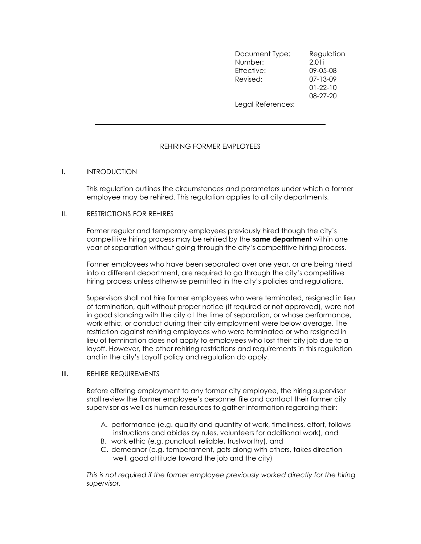Document Type: Regulation Number: 2.01i Effective: 09-05-08 Revised: 07-13-09 01-22-10 08-27-20 Legal References:

# REHIRING FORMER EMPLOYEES

 $\mathcal{L}_\text{max}$  , and the contract of the contract of the contract of the contract of the contract of the contract of

# I. INTRODUCTION

This regulation outlines the circumstances and parameters under which a former employee may be rehired. This regulation applies to all city departments.

#### II. RESTRICTIONS FOR REHIRES

Former regular and temporary employees previously hired though the city's competitive hiring process may be rehired by the **same department** within one year of separation without going through the city's competitive hiring process.

Former employees who have been separated over one year, or are being hired into a different department, are required to go through the city's competitive hiring process unless otherwise permitted in the city's policies and regulations.

Supervisors shall not hire former employees who were terminated, resigned in lieu of termination, quit without proper notice (if required or not approved), were not in good standing with the city at the time of separation, or whose performance, work ethic, or conduct during their city employment were below average. The restriction against rehiring employees who were terminated or who resigned in lieu of termination does not apply to employees who lost their city job due to a layoff. However, the other rehiring restrictions and requirements in this regulation and in the city's Layoff policy and regulation do apply.

### III. REHIRE REQUIREMENTS

Before offering employment to any former city employee, the hiring supervisor shall review the former employee's personnel file and contact their former city supervisor as well as human resources to gather information regarding their:

- A. performance (e.g. quality and quantity of work, timeliness, effort, follows instructions and abides by rules, volunteers for additional work), and
- B. work ethic (e.g. punctual, reliable, trustworthy), and
- C. demeanor (e.g. temperament, gets along with others, takes direction well, good attitude toward the job and the city)

This is not required if the former employee previously worked directly for the hiring supervisor.